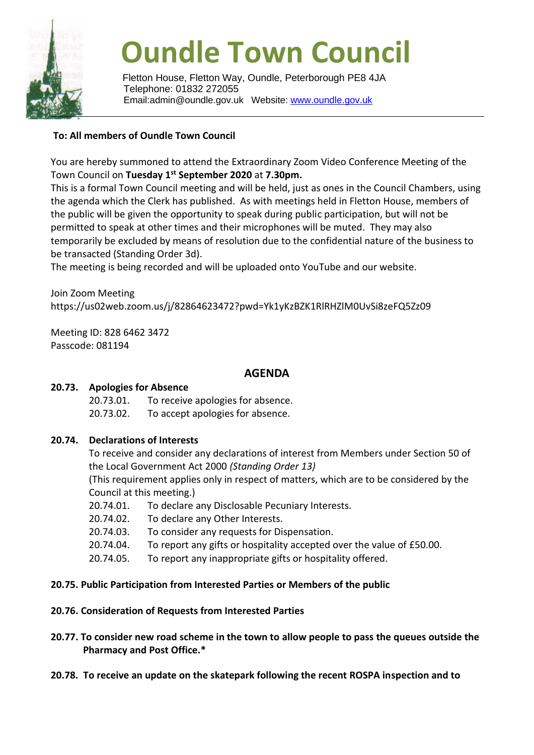

# **Oundle Town Council**

Fletton House, Fletton Way, Oundle, Peterborough PE8 4JA Telephone: 01832 272055 Email:admin@oundle.gov.uk Website: [www.oundle.gov.uk](http://www.oundle.gov.uk/)

## **To: All members of Oundle Town Council**

You are hereby summoned to attend the Extraordinary Zoom Video Conference Meeting of the Town Council on **Tuesday 1 st September 2020** at **7.30pm.**

This is a formal Town Council meeting and will be held, just as ones in the Council Chambers, using the agenda which the Clerk has published. As with meetings held in Fletton House, members of the public will be given the opportunity to speak during public participation, but will not be permitted to speak at other times and their microphones will be muted. They may also temporarily be excluded by means of resolution due to the confidential nature of the business to be transacted (Standing Order 3d).

The meeting is being recorded and will be uploaded onto YouTube and our website.

Join Zoom Meeting https://us02web.zoom.us/j/82864623472?pwd=Yk1yKzBZK1RlRHZlM0UvSi8zeFQ5Zz09

Meeting ID: 828 6462 3472 Passcode: 081194

## **AGENDA**

### **20.73. Apologies for Absence**

20.73.01. To receive apologies for absence. 20.73.02. To accept apologies for absence.

### **20.74. Declarations of Interests**

To receive and consider any declarations of interest from Members under Section 50 of the Local Government Act 2000 *(Standing Order 13)*

(This requirement applies only in respect of matters, which are to be considered by the Council at this meeting.)

- 20.74.01. To declare any Disclosable Pecuniary Interests.
- 20.74.02. To declare any Other Interests.
- 20.74.03. To consider any requests for Dispensation.
- 20.74.04. To report any gifts or hospitality accepted over the value of £50.00.
- 20.74.05. To report any inappropriate gifts or hospitality offered.

#### **20.75. Public Participation from Interested Parties or Members of the public**

#### **20.76. Consideration of Requests from Interested Parties**

- **20.77. To consider new road scheme in the town to allow people to pass the queues outside the Pharmacy and Post Office.\***
- **20.78. To receive an update on the skatepark following the recent ROSPA inspection and to**